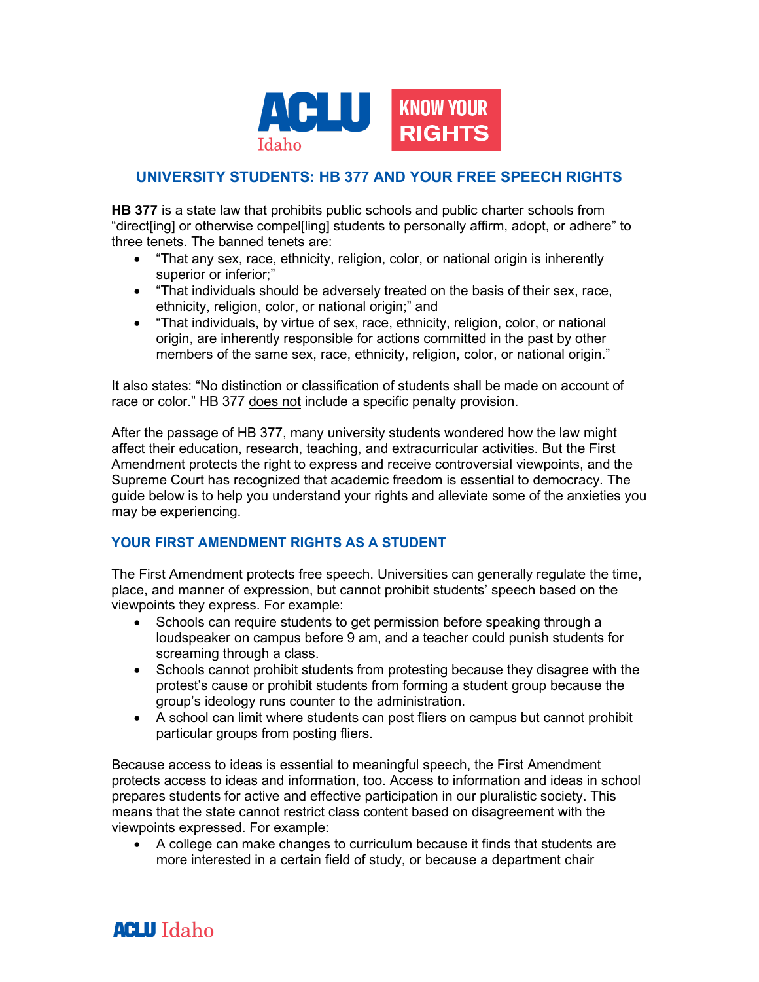

# **UNIVERSITY STUDENTS: HB 377 AND YOUR FREE SPEECH RIGHTS**

**HB 377** is a state law that prohibits public schools and public charter schools from "direct[ing] or otherwise compel[ling] students to personally affirm, adopt, or adhere" to three tenets. The banned tenets are:

- "That any sex, race, ethnicity, religion, color, or national origin is inherently superior or inferior;"
- "That individuals should be adversely treated on the basis of their sex, race, ethnicity, religion, color, or national origin;" and
- "That individuals, by virtue of sex, race, ethnicity, religion, color, or national origin, are inherently responsible for actions committed in the past by other members of the same sex, race, ethnicity, religion, color, or national origin."

It also states: "No distinction or classification of students shall be made on account of race or color." HB 377 does not include a specific penalty provision.

After the passage of HB 377, many university students wondered how the law might affect their education, research, teaching, and extracurricular activities. But the First Amendment protects the right to express and receive controversial viewpoints, and the Supreme Court has recognized that academic freedom is essential to democracy. The guide below is to help you understand your rights and alleviate some of the anxieties you may be experiencing.

## **YOUR FIRST AMENDMENT RIGHTS AS A STUDENT**

The First Amendment protects free speech. Universities can generally regulate the time, place, and manner of expression, but cannot prohibit students' speech based on the viewpoints they express. For example:

- Schools can require students to get permission before speaking through a loudspeaker on campus before 9 am, and a teacher could punish students for screaming through a class.
- Schools cannot prohibit students from protesting because they disagree with the protest's cause or prohibit students from forming a student group because the group's ideology runs counter to the administration.
- A school can limit where students can post fliers on campus but cannot prohibit particular groups from posting fliers.

Because access to ideas is essential to meaningful speech, the First Amendment protects access to ideas and information, too. Access to information and ideas in school prepares students for active and effective participation in our pluralistic society. This means that the state cannot restrict class content based on disagreement with the viewpoints expressed. For example:

• A college can make changes to curriculum because it finds that students are more interested in a certain field of study, or because a department chair

# **ACLU** Idaho